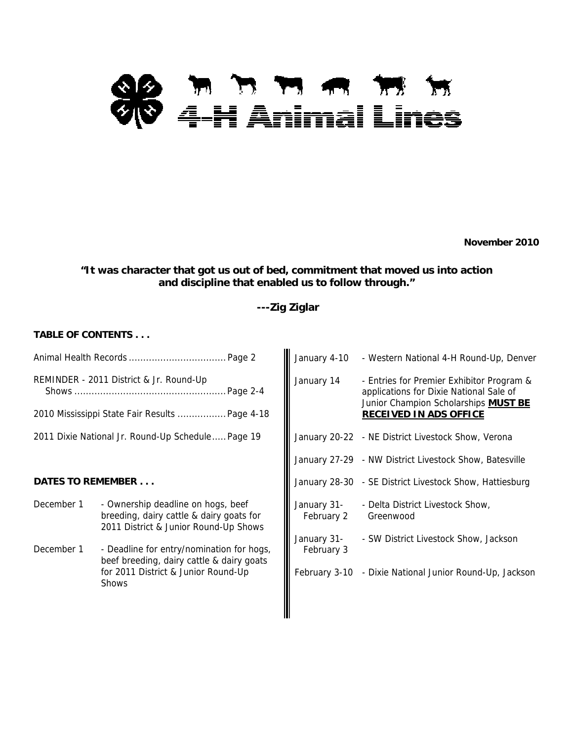# **88 m n m m m m**<br>WV 4-H Animal Lines

**November 2010** 

# **"It was character that got us out of bed, commitment that moved us into action and discipline that enabled us to follow through."**

# **---Zig Ziglar**

# **TABLE OF CONTENTS . . .**

|                          |                                                                                                                         | January 4-10              | - Western National 4-H Round-Up, Denver                                                                                      |
|--------------------------|-------------------------------------------------------------------------------------------------------------------------|---------------------------|------------------------------------------------------------------------------------------------------------------------------|
|                          | REMINDER - 2011 District & Jr. Round-Up<br>. Page 2-4                                                                   | January 14                | - Entries for Premier Exhibitor Program &<br>applications for Dixie National Sale of<br>Junior Champion Scholarships MUST BE |
|                          | 2010 Mississippi State Fair Results  Page 4-18                                                                          |                           | <b>RECEIVED IN ADS OFFICE</b>                                                                                                |
|                          | 2011 Dixie National Jr. Round-Up Schedule Page 19                                                                       |                           | January 20-22 - NE District Livestock Show, Verona                                                                           |
|                          |                                                                                                                         |                           | January 27-29 - NW District Livestock Show, Batesville                                                                       |
| <b>DATES TO REMEMBER</b> |                                                                                                                         |                           | January 28-30 - SE District Livestock Show, Hattiesburg                                                                      |
| December 1               | - Ownership deadline on hogs, beef<br>breeding, dairy cattle & dairy goats for<br>2011 District & Junior Round-Up Shows | January 31-<br>February 2 | - Delta District Livestock Show,<br>Greenwood                                                                                |
| December 1               | - Deadline for entry/nomination for hogs,<br>beef breeding, dairy cattle & dairy goats                                  | January 31-<br>February 3 | - SW District Livestock Show, Jackson                                                                                        |
|                          | for 2011 District & Junior Round-Up<br><b>Shows</b>                                                                     |                           | February 3-10 - Dixie National Junior Round-Up, Jackson                                                                      |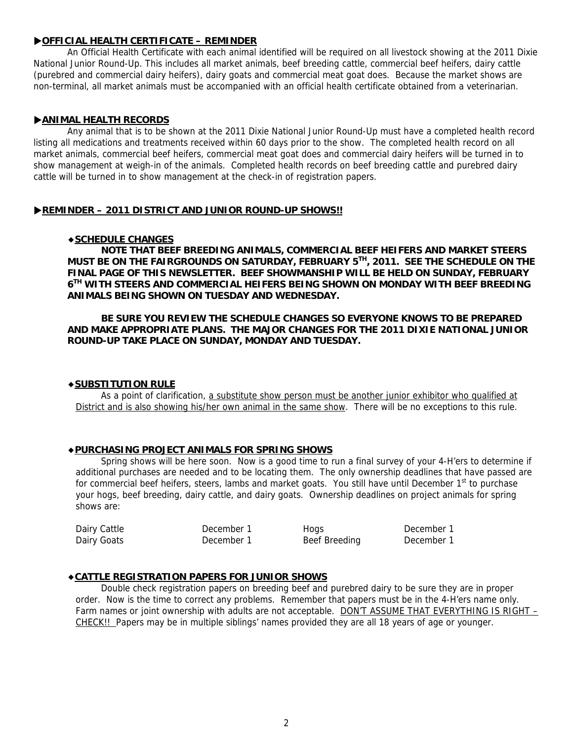# X**OFFICIAL HEALTH CERTIFICATE – REMINDER**

An Official Health Certificate with each animal identified will be required on all livestock showing at the 2011 Dixie National Junior Round-Up. This includes all market animals, beef breeding cattle, commercial beef heifers, dairy cattle (purebred and commercial dairy heifers), dairy goats and commercial meat goat does. Because the market shows are non-terminal, all market animals must be accompanied with an official health certificate obtained from a veterinarian.

# $\blacktriangleright$  **ANIMAL HEALTH RECORDS**

Any animal that is to be shown at the 2011 Dixie National Junior Round-Up must have a completed health record listing all medications and treatments received within 60 days prior to the show. The completed health record on all market animals, commercial beef heifers, commercial meat goat does and commercial dairy heifers will be turned in to show management at weigh-in of the animals. Completed health records on beef breeding cattle and purebred dairy cattle will be turned in to show management at the check-in of registration papers.

# **EXAMINDER – 2011 DISTRICT AND JUNIOR ROUND-UP SHOWS!!**

#### ◆**SCHEDULE CHANGES**

**NOTE THAT BEEF BREEDING ANIMALS, COMMERCIAL BEEF HEIFERS AND MARKET STEERS MUST BE ON THE FAIRGROUNDS ON SATURDAY, FEBRUARY 5TH, 2011. SEE THE SCHEDULE ON THE FINAL PAGE OF THIS NEWSLETTER. BEEF SHOWMANSHIP WILL BE HELD ON SUNDAY, FEBRUARY 6TH WITH STEERS AND COMMERCIAL HEIFERS BEING SHOWN ON MONDAY WITH BEEF BREEDING ANIMALS BEING SHOWN ON TUESDAY AND WEDNESDAY.** 

# **BE SURE YOU REVIEW THE SCHEDULE CHANGES SO EVERYONE KNOWS TO BE PREPARED AND MAKE APPROPRIATE PLANS. THE MAJOR CHANGES FOR THE 2011 DIXIE NATIONAL JUNIOR ROUND-UP TAKE PLACE ON SUNDAY, MONDAY AND TUESDAY.**

#### ◆**SUBSTITUTION RULE**

 As a point of clarification, a substitute show person must be another junior exhibitor who qualified at District and is also showing his/her own animal in the same show. There will be no exceptions to this rule.

#### ◆**PURCHASING PROJECT ANIMALS FOR SPRING SHOWS**

Spring shows will be here soon. Now is a good time to run a final survey of your 4-H'ers to determine if additional purchases are needed and to be locating them. The only ownership deadlines that have passed are for commercial beef heifers, steers, lambs and market goats. You still have until December 1<sup>st</sup> to purchase your hogs, beef breeding, dairy cattle, and dairy goats. Ownership deadlines on project animals for spring shows are:

| Dairy Cattle | December 1 | Hogs          | December 1 |
|--------------|------------|---------------|------------|
| Dairy Goats  | December 1 | Beef Breeding | December 1 |

# ◆**CATTLE REGISTRATION PAPERS FOR JUNIOR SHOWS**

 Double check registration papers on breeding beef and purebred dairy to be sure they are in proper order. Now is the time to correct any problems. Remember that papers must be in the 4-H'ers name only. Farm names or joint ownership with adults are not acceptable. DON'T ASSUME THAT EVERYTHING IS RIGHT -CHECK!! Papers may be in multiple siblings' names provided they are all 18 years of age or younger.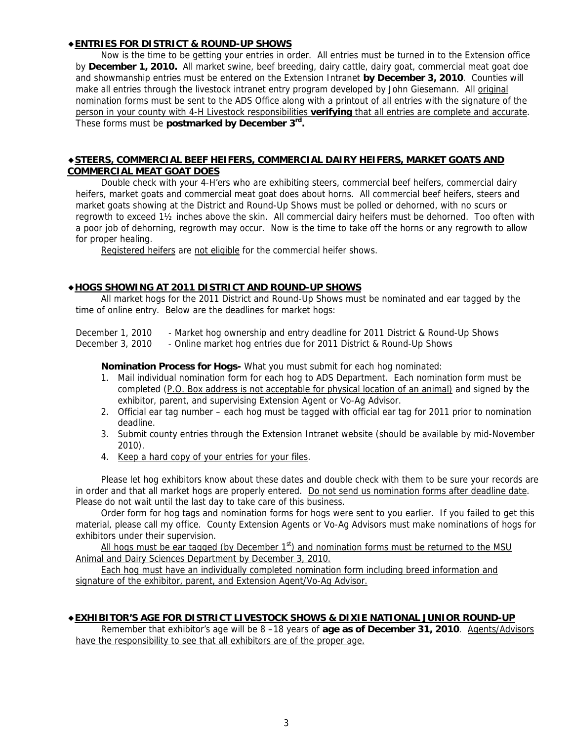# ◆**ENTRIES FOR DISTRICT & ROUND-UP SHOWS**

Now is the time to be getting your entries in order. All entries must be turned in to the Extension office by **December 1, 2010.** All market swine, beef breeding, dairy cattle, dairy goat, commercial meat goat doe and showmanship entries must be entered on the Extension Intranet **by December 3, 2010**. Counties will make all entries through the livestock intranet entry program developed by John Giesemann. All *original* nomination forms must be sent to the ADS Office along with a printout of all entries with the signature of the person in your county with 4-H Livestock responsibilities **verifying** that all entries are complete and accurate. These forms must be **postmarked by December 3rd.** 

#### ◆**STEERS, COMMERCIAL BEEF HEIFERS, COMMERCIAL DAIRY HEIFERS, MARKET GOATS AND COMMERCIAL MEAT GOAT DOES**

Double check with your 4-H'ers who are exhibiting steers, commercial beef heifers, commercial dairy heifers, market goats and commercial meat goat does about horns. All commercial beef heifers, steers and market goats showing at the District and Round-Up Shows must be polled or dehorned, with no scurs or regrowth to exceed 1½ inches above the skin. All commercial dairy heifers must be dehorned. Too often with a poor job of dehorning, regrowth may occur. Now is the time to take off the horns or any regrowth to allow for proper healing.

Registered heifers are not eligible for the commercial heifer shows.

# ◆**HOGS SHOWING AT 2011 DISTRICT AND ROUND-UP SHOWS**

All market hogs for the 2011 District and Round-Up Shows must be nominated and ear tagged by the time of online entry. Below are the deadlines for market hogs:

December 1, 2010 - Market hog ownership and entry deadline for 2011 District & Round-Up Shows December 3, 2010 - Online market hog entries due for 2011 District & Round-Up Shows

**Nomination Process for Hogs-** What you must submit for each hog nominated:

- 1. Mail individual nomination form for each hog to ADS Department. Each nomination form must be completed (P.O. Box address is not acceptable for physical location of an animal) and signed by the exhibitor, parent, and supervising Extension Agent or Vo-Ag Advisor.
- 2. Official ear tag number each hog must be tagged with official ear tag for 2011 prior to nomination deadline.
- 3. Submit county entries through the Extension Intranet website (should be available by mid-November 2010).
- 4. Keep a hard copy of your entries for your files.

Please let hog exhibitors know about these dates and double check with them to be sure your records are in order and that all market hogs are properly entered. Do not send us nomination forms after deadline date. Please do not wait until the last day to take care of this business.

Order form for hog tags and nomination forms for hogs were sent to you earlier. If you failed to get this material, please call my office. County Extension Agents or Vo-Ag Advisors must make nominations of hogs for exhibitors under their supervision.

All hogs must be ear tagged (by December  $1<sup>st</sup>$ ) and nomination forms must be returned to the MSU Animal and Dairy Sciences Department by December 3, 2010.

Each hog must have an individually completed nomination form including breed information and signature of the exhibitor, parent, and Extension Agent/Vo-Ag Advisor.

#### ◆**EXHIBITOR'S AGE FOR DISTRICT LIVESTOCK SHOWS & DIXIE NATIONAL JUNIOR ROUND-UP**

Remember that exhibitor's age will be 8 -18 years of **age as of December 31, 2010**. Agents/Advisors have the responsibility to see that all exhibitors are of the proper age.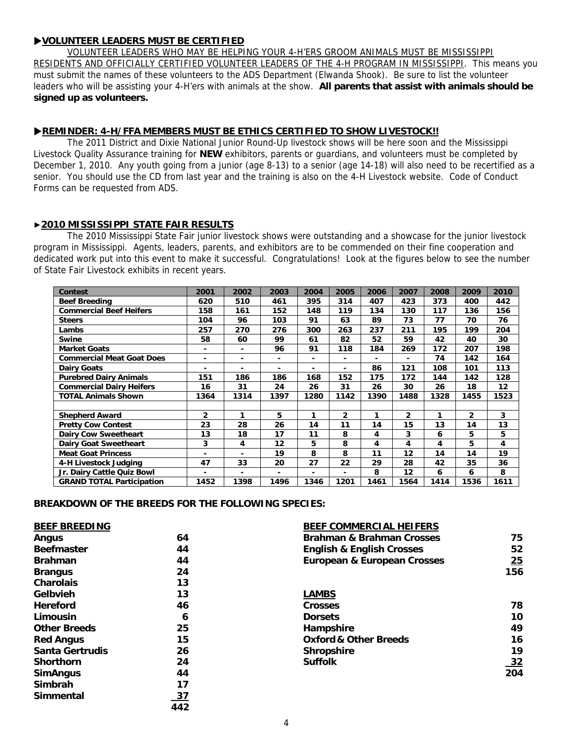# X**VOLUNTEER LEADERS MUST BE CERTIFIED**

VOLUNTEER LEADERS WHO MAY BE HELPING YOUR 4-H'ERS GROOM ANIMALS MUST BE MISSISSIPPI RESIDENTS AND OFFICIALLY CERTIFIED VOLUNTEER LEADERS OF THE 4-H PROGRAM IN MISSISSIPPI. This means you must submit the names of these volunteers to the ADS Department (Elwanda Shook). Be sure to list the volunteer leaders who will be assisting your 4-H'ers with animals at the show. **All parents that assist with animals should be signed up as volunteers.**

# **EXAMINDER: 4-H/FFA MEMBERS MUST BE ETHICS CERTIFIED TO SHOW LIVESTOCK!!**

The 2011 District and Dixie National Junior Round-Up livestock shows will be here soon and the Mississippi Livestock Quality Assurance training for **NEW** exhibitors, parents or guardians, and volunteers must be completed by December 1, 2010. Any youth going from a junior (age 8-13) to a senior (age 14-18) will also need to be recertified as a senior. You should use the CD from last year and the training is also on the 4-H Livestock website. Code of Conduct Forms can be requested from ADS.

# ▶**2010 MISSISSIPPI STATE FAIR RESULTS**

 The 2010 Mississippi State Fair junior livestock shows were outstanding and a showcase for the junior livestock program in Mississippi. Agents, leaders, parents, and exhibitors are to be commended on their fine cooperation and dedicated work put into this event to make it successful. Congratulations! Look at the figures below to see the number of State Fair Livestock exhibits in recent years.

| Contest                          | 2001                         | 2002 | 2003 | 2004         | 2005           | 2006 | 2007           | 2008 | 2009           | 2010 |
|----------------------------------|------------------------------|------|------|--------------|----------------|------|----------------|------|----------------|------|
| <b>Beef Breeding</b>             | 620                          | 510  | 461  | 395          | 314            | 407  | 423            | 373  | 400            | 442  |
| <b>Commercial Beef Heifers</b>   | 158                          | 161  | 152  | 148          | 119            | 134  | 130            | 117  | 136            | 156  |
| <b>Steers</b>                    | 104                          | 96   | 103  | 91           | 63             | 89   | 73             | 77   | 70             | 76   |
| Lambs                            | 257                          | 270  | 276  | 300          | 263            | 237  | 211            | 195  | 199            | 204  |
| <b>Swine</b>                     | 58                           | 60   | 99   | 61           | 82             | 52   | 59             | 42   | 40             | 30   |
| <b>Market Goats</b>              | ٠                            | ۰    | 96   | 91           | 118            | 184  | 269            | 172  | 207            | 198  |
| <b>Commercial Meat Goat Does</b> | ٠                            | ۰    | ٠    | ۰            | ۰              |      |                | 74   | 142            | 164  |
| <b>Dairy Goats</b>               | $\blacksquare$               | ۰    | ۰    | ۰.           | ۰.             | 86   | 121            | 108  | 101            | 113  |
| <b>Purebred Dairy Animals</b>    | 151                          | 186  | 186  | 168          | 152            | 175  | 172            | 144  | 142            | 128  |
| <b>Commercial Dairy Heifers</b>  | 16                           | 31   | 24   | 26           | 31             | 26   | 30             | 26   | 18             | 12   |
| <b>TOTAL Animals Shown</b>       | 1364                         | 1314 | 1397 | 1280         | 1142           | 1390 | 1488           | 1328 | 1455           | 1523 |
|                                  |                              |      |      |              |                |      |                |      |                |      |
| <b>Shepherd Award</b>            | $\overline{2}$               | 1    | 5    | $\mathbf{1}$ | $\overline{2}$ | 1    | $\overline{2}$ | 1    | $\overline{2}$ | 3    |
| <b>Pretty Cow Contest</b>        | 23                           | 28   | 26   | 14           | 11             | 14   | 15             | 13   | 14             | 13   |
| <b>Dairy Cow Sweetheart</b>      | 13                           | 18   | 17   | 11           | 8              | 4    | 3              | 6    | 5              | 5    |
| <b>Dairy Goat Sweetheart</b>     | 3                            | 4    | 12   | 5            | 8              | 4    | 4              | 4    | 5              | 4    |
| <b>Meat Goat Princess</b>        | $\qquad \qquad \blacksquare$ |      | 19   | 8            | 8              | 11   | 12             | 14   | 14             | 19   |
| 4-H Livestock Judging            | 47                           | 33   | 20   | 27           | 22             | 29   | 28             | 42   | 35             | 36   |
| Jr. Dairy Cattle Quiz Bowl       | ۰                            | ۰    | ۰    | ۰            |                | 8    | 12             | 6    | 6              | 8    |
| <b>GRAND TOTAL Participation</b> | 1452                         | 1398 | 1496 | 1346         | 1201           | 1461 | 1564           | 1414 | 1536           | 1611 |

**BREAKDOWN OF THE BREEDS FOR THE FOLLOWING SPECIES:** 

| <b>BEEF BREEDING</b> |           | BEEF COMMERCIAL HEIFERS                |           |
|----------------------|-----------|----------------------------------------|-----------|
| Angus                | 64        | <b>Brahman &amp; Brahman Crosses</b>   | 75        |
| <b>Beefmaster</b>    | 44        | <b>English &amp; English Crosses</b>   | 52        |
| <b>Brahman</b>       | 44        | <b>European &amp; European Crosses</b> | 25        |
| <b>Brangus</b>       | 24        |                                        | 156       |
| <b>Charolais</b>     | 13        |                                        |           |
| Gelbvieh             | 13        | <b>LAMBS</b>                           |           |
| <b>Hereford</b>      | 46        | <b>Crosses</b>                         | 78        |
| Limousin             | 6         | <b>Dorsets</b>                         | 10        |
| <b>Other Breeds</b>  | 25        | Hampshire                              | 49        |
| <b>Red Angus</b>     | 15        | <b>Oxford &amp; Other Breeds</b>       | 16        |
| Santa Gertrudis      | 26        | <b>Shropshire</b>                      | 19        |
| <b>Shorthorn</b>     | 24        | <b>Suffolk</b>                         | <u>32</u> |
| <b>SimAngus</b>      | 44        |                                        | 204       |
| Simbrah              | 17        |                                        |           |
| <b>Simmental</b>     | <u>37</u> |                                        |           |
|                      | 442       |                                        |           |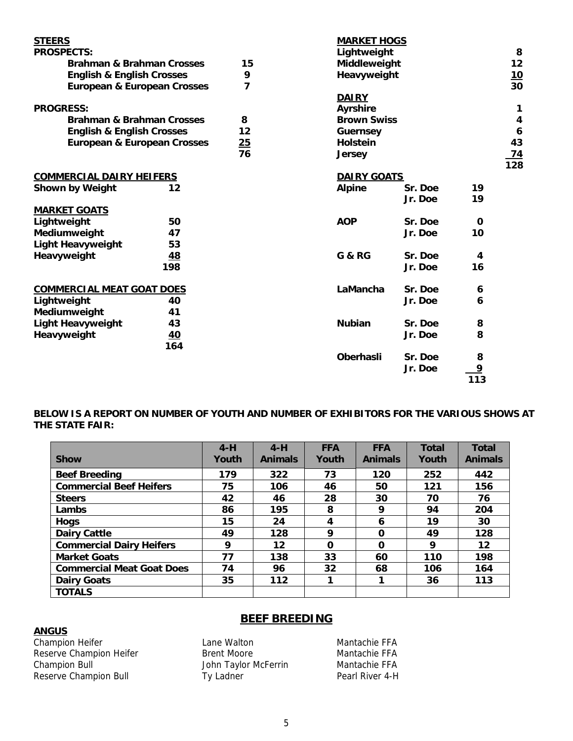| <b>STEERS</b>                          |           |    | <b>MARKET HOGS</b> |         |              |                  |
|----------------------------------------|-----------|----|--------------------|---------|--------------|------------------|
| <b>PROSPECTS:</b>                      |           |    | Lightweight        |         |              | 8                |
| <b>Brahman &amp; Brahman Crosses</b>   |           | 15 | Middleweight       |         |              | 12               |
| <b>English &amp; English Crosses</b>   |           | 9  | Heavyweight        |         |              | $\frac{10}{30}$  |
| <b>European &amp; European Crosses</b> |           | 7  |                    |         |              |                  |
|                                        |           |    | <b>DAIRY</b>       |         |              |                  |
| <b>PROGRESS:</b>                       |           |    | <b>Ayrshire</b>    |         |              | 1                |
| <b>Brahman &amp; Brahman Crosses</b>   |           | 8  | <b>Brown Swiss</b> |         |              | 4                |
| <b>English &amp; English Crosses</b>   |           | 12 | <b>Guernsey</b>    |         |              | $\boldsymbol{6}$ |
| <b>European &amp; European Crosses</b> |           | 25 | <b>Holstein</b>    |         |              | 43               |
|                                        |           | 76 | <b>Jersey</b>      |         |              | <u>74</u>        |
|                                        |           |    |                    |         |              | $\overline{128}$ |
| <b>COMMERCIAL DAIRY HEIFERS</b>        |           |    | <b>DAIRY GOATS</b> |         |              |                  |
| Shown by Weight                        | 12        |    | <b>Alpine</b>      | Sr. Doe | 19           |                  |
|                                        |           |    |                    | Jr. Doe | 19           |                  |
| <b>MARKET GOATS</b>                    |           |    |                    |         |              |                  |
| Lightweight                            | 50        |    | <b>AOP</b>         | Sr. Doe | $\mathbf{O}$ |                  |
| Mediumweight                           | 47        |    |                    | Jr. Doe | 10           |                  |
| <b>Light Heavyweight</b>               | 53        |    |                    |         |              |                  |
| Heavyweight                            | <u>48</u> |    | <b>G &amp; RG</b>  | Sr. Doe | 4            |                  |
|                                        | 198       |    |                    | Jr. Doe | 16           |                  |
|                                        |           |    |                    |         |              |                  |
| <b>COMMERCIAL MEAT GOAT DOES</b>       |           |    | LaMancha           | Sr. Doe | 6            |                  |
| Lightweight                            | 40        |    |                    | Jr. Doe | 6            |                  |
| Mediumweight                           | 41        |    |                    |         |              |                  |
| <b>Light Heavyweight</b>               | 43        |    | <b>Nubian</b>      | Sr. Doe | 8            |                  |
| Heavyweight                            | 40        |    |                    | Jr. Doe | 8            |                  |
|                                        | 164       |    |                    |         |              |                  |
|                                        |           |    | <b>Oberhasli</b>   | Sr. Doe | 8            |                  |
|                                        |           |    |                    | Jr. Doe | <u>9</u>     |                  |
|                                        |           |    |                    |         | 113          |                  |

# **BELOW IS A REPORT ON NUMBER OF YOUTH AND NUMBER OF EXHIBITORS FOR THE VARIOUS SHOWS AT THE STATE FAIR:**

|                                  | $4-H$ | $4-H$          | <b>FFA</b> | <b>FFA</b>     | <b>Total</b> | <b>Total</b>   |
|----------------------------------|-------|----------------|------------|----------------|--------------|----------------|
| <b>Show</b>                      | Youth | <b>Animals</b> | Youth      | <b>Animals</b> | Youth        | <b>Animals</b> |
| <b>Beef Breeding</b>             | 179   | 322            | 73         | 120            | 252          | 442            |
| <b>Commercial Beef Heifers</b>   | 75    | 106            | 46         | 50             | 121          | 156            |
| <b>Steers</b>                    | 42    | 46             | 28         | 30             | 70           | 76             |
| Lambs                            | 86    | 195            | 8          | 9              | 94           | 204            |
| <b>Hogs</b>                      | 15    | 24             | 4          | 6              | 19           | 30             |
| <b>Dairy Cattle</b>              | 49    | 128            | 9          | $\Omega$       | 49           | 128            |
| <b>Commercial Dairy Heifers</b>  | 9     | 12             | $\Omega$   | $\Omega$       | 9            | 12             |
| <b>Market Goats</b>              | 77    | 138            | 33         | 60             | 110          | 198            |
| <b>Commercial Meat Goat Does</b> | 74    | 96             | 32         | 68             | 106          | 164            |
| <b>Dairy Goats</b>               | 35    | 112            |            | 1              | 36           | 113            |
| <b>TOTALS</b>                    |       |                |            |                |              |                |

# **ANGUS**

Champion Heifer **Lane Walton** Lane Walton Mantachie FFA Reserve Champion Heifer **Brent Moore** Brent Moore Mantachie FFA<br>Champion Bull **Brent Brend Holl Scholars** John Taylor McFerrin Mantachie FFA Reserve Champion Bull

John Taylor McFerrin Mantachie FFA<br>Ty Ladner Mantachie Pearl River 4-H

**BEEF BREEDING**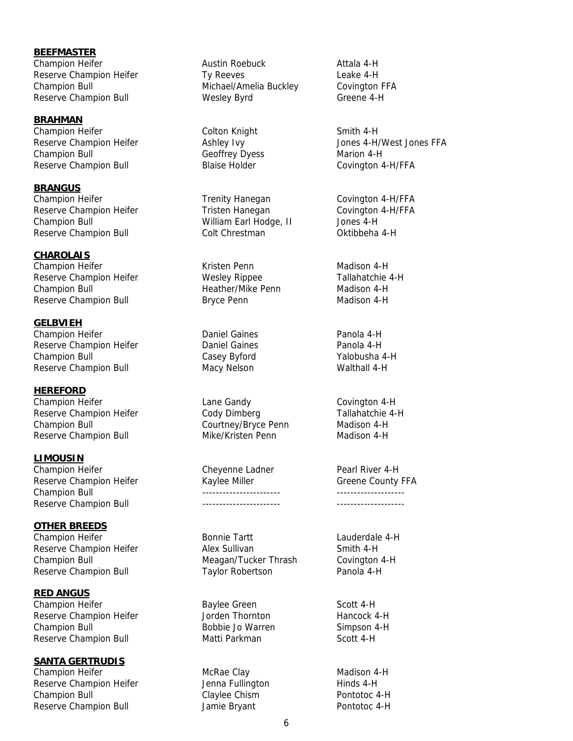**BEEFMASTER** Champion Heifer **Austin Roebuck** Austin Roebuck Attala 4-H Reserve Champion Heifer Ty Reeves The Search Heake 4-H Champion Bull **Michael/Amelia Buckley Covington FFA** Reserve Champion Bull **Conservent Champion Bull** Wesley Byrd Greene 4-H

**BRAHMAN** Champion Heifer **Colton Knight** Colton Knight Smith 4-H Champion Bull **Geoffrey Dyess** Marion 4-H Reserve Champion Bull **Blaise Holder** Blaise Holder Covington 4-H/FFA

**BRANGUS** Champion Heifer Trenity Hanegan Covington 4-H/FFA Reserve Champion Heifer Tristen Hanegan Covington 4-H/FFA Champion Bull William Earl Hodge, II Jones 4-H Reserve Champion Bull **Colt Chrestman** Colt Chrestman Oktibbeha 4-H

**CHAROLAIS** Champion Heifer **Champion Heifer Kristen Penn** Madison 4-H Reserve Champion Heifer **Nesley Rippee** Tallahatchie 4-H Champion Bull Heather/Mike Penn Madison 4-H Reserve Champion Bull **Bryce Penn** Brown Madison 4-H

**GELBVIEH** Champion Heifer Daniel Gaines Panola 4-H Reserve Champion Heifer **Champion Heifer** Daniel Gaines **Panola 4-H** Champion Bull Casey Byford Yalobusha 4-H Reserve Champion Bull **Macy Nelson** Macy Nelson Walthall 4-H

**HEREFORD** Champion Heifer **Lane Gandy** Covington 4-H Reserve Champion Heifer Cody Dimberg Tallahatchie 4-H Champion Bull Courtney/Bryce Penn Madison 4-H Reserve Champion Bull Mike/Kristen Penn Madison 4-H

**LIMOUSIN** Champion Heifer **Champion Heifer** Cheyenne Ladner **Pearl River 4-H** Reserve Champion Heifer **Kaylee Miller** Greene County FFA Champion Bull ----------------------- -------------------- Reserve Champion Bull ----------------------- --------------------

**OTHER BREEDS** Champion Heifer **Bonnie Tartt** Lauderdale 4-H Reserve Champion Heifer **Alex Sullivan** Alex Sullivan Smith 4-H Champion Bull **Meagan/Tucker Thrash** Covington 4-H Reserve Champion Bull **Taylor Robertson** Panola 4-H

**RED ANGUS** Champion Heifer **Baylee Green** Scott 4-H Reserve Champion Heifer Thornton Hancock 4-H Champion Bull **Bobbie Jo Warren** Simpson 4-H Reserve Champion Bull **Matti Parkman** Scott 4-H

**SANTA GERTRUDIS**

Champion Heifer **McRae Clay** McRae Clay Madison 4-H Reserve Champion Heifer **Gravit Exercise Sense** Jenna Fullington **Hinds 4-H** Champion Bull **Claylee Chism** Pontotoc 4-H Reserve Champion Bull **Server Champion Bull** Jamie Bryant **Pontotoc 4-H** 

Reserve Champion Heifer The Ashley Ivy The Masserve Champion Heifer Ashley Ivy The Masserve Champion Heifer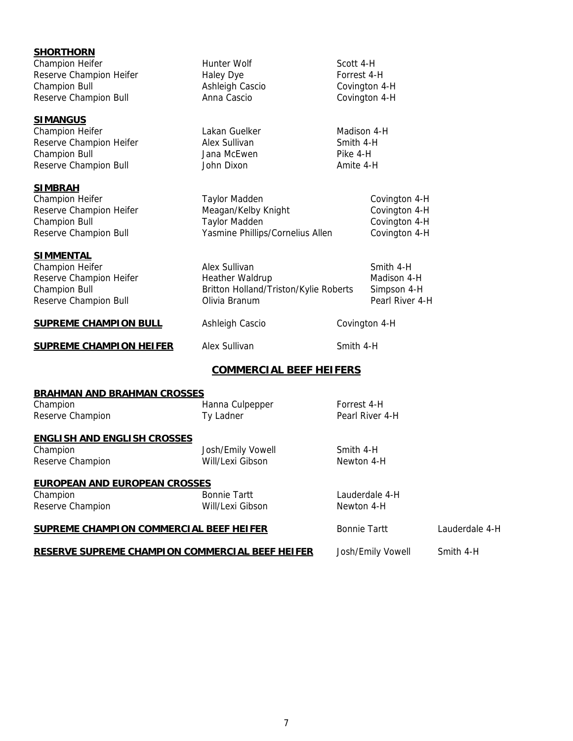| <b>SHORTHORN</b><br>Champion Heifer                    | <b>Hunter Wolf</b>                    | Scott 4-H           |                   |                |
|--------------------------------------------------------|---------------------------------------|---------------------|-------------------|----------------|
| Reserve Champion Heifer                                | <b>Haley Dye</b>                      | Forrest 4-H         |                   |                |
| <b>Champion Bull</b>                                   | Ashleigh Cascio                       | Covington 4-H       |                   |                |
| Reserve Champion Bull                                  | Anna Cascio                           | Covington 4-H       |                   |                |
|                                                        |                                       |                     |                   |                |
| <b>SIMANGUS</b>                                        |                                       |                     |                   |                |
| Champion Heifer                                        | Lakan Guelker                         | Madison 4-H         |                   |                |
| Reserve Champion Heifer                                | Alex Sullivan                         | Smith 4-H           |                   |                |
| <b>Champion Bull</b>                                   | Jana McEwen                           | Pike 4-H            |                   |                |
| Reserve Champion Bull                                  | John Dixon                            | Amite 4-H           |                   |                |
| <b>SIMBRAH</b>                                         |                                       |                     |                   |                |
| Champion Heifer                                        | <b>Taylor Madden</b>                  |                     | Covington 4-H     |                |
| Reserve Champion Heifer                                | Meagan/Kelby Knight                   |                     | Covington 4-H     |                |
| <b>Champion Bull</b>                                   | <b>Taylor Madden</b>                  |                     |                   |                |
|                                                        |                                       |                     | Covington 4-H     |                |
| Reserve Champion Bull                                  | Yasmine Phillips/Cornelius Allen      |                     | Covington 4-H     |                |
| <u>SIMMENTAL</u>                                       |                                       |                     |                   |                |
| Champion Heifer                                        | Alex Sullivan                         |                     | Smith 4-H         |                |
| Reserve Champion Heifer                                | Heather Waldrup                       |                     | Madison 4-H       |                |
| <b>Champion Bull</b>                                   | Britton Holland/Triston/Kylie Roberts |                     | Simpson 4-H       |                |
| Reserve Champion Bull                                  | Olivia Branum                         |                     | Pearl River 4-H   |                |
|                                                        |                                       |                     |                   |                |
| <b>SUPREME CHAMPION BULL</b>                           | Ashleigh Cascio                       | Covington 4-H       |                   |                |
| <b>SUPREME CHAMPION HEIFER</b>                         | Alex Sullivan                         | Smith 4-H           |                   |                |
|                                                        | <b>COMMERCIAL BEEF HEIFERS</b>        |                     |                   |                |
| <b>BRAHMAN AND BRAHMAN CROSSES</b>                     |                                       |                     |                   |                |
| Champion                                               | Hanna Culpepper                       | Forrest 4-H         |                   |                |
| Reserve Champion                                       | Ty Ladner                             |                     | Pearl River 4-H   |                |
|                                                        |                                       |                     |                   |                |
| <b>ENGLISH AND ENGLISH CROSSES</b>                     |                                       |                     |                   |                |
| Champion                                               | Josh/Emily Vowell                     | Smith 4-H           |                   |                |
| Reserve Champion                                       | Will/Lexi Gibson                      | Newton 4-H          |                   |                |
| <b>EUROPEAN AND EUROPEAN CROSSES</b>                   |                                       |                     |                   |                |
| Champion                                               | <b>Bonnie Tartt</b>                   |                     | Lauderdale 4-H    |                |
| Reserve Champion                                       | Will/Lexi Gibson                      | Newton 4-H          |                   |                |
|                                                        |                                       |                     |                   |                |
| <b>SUPREME CHAMPION COMMERCIAL BEEF HEIFER</b>         |                                       | <b>Bonnie Tartt</b> |                   | Lauderdale 4-H |
| <b>RESERVE SUPREME CHAMPION COMMERCIAL BEEF HEIFER</b> |                                       |                     | Josh/Emily Vowell | Smith 4-H      |
|                                                        |                                       |                     |                   |                |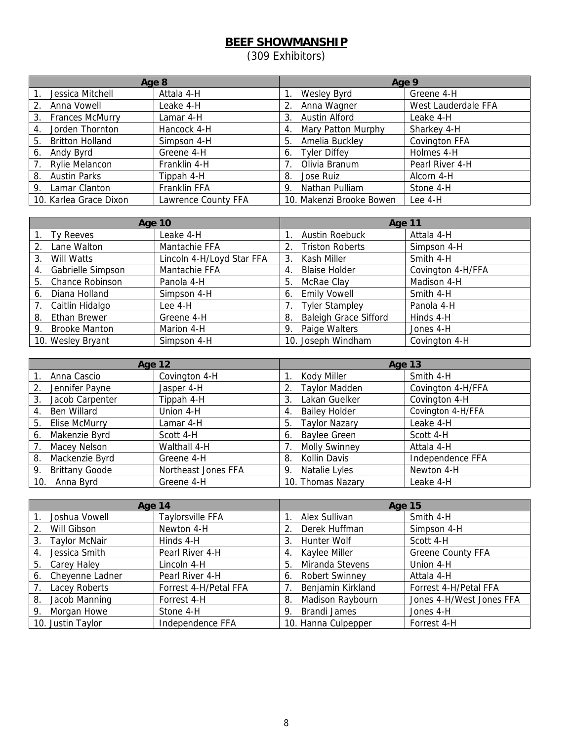# **BEEF SHOWMANSHIP**

(309 Exhibitors)

| Age 8                        |                     | Age 9                     |                     |  |
|------------------------------|---------------------|---------------------------|---------------------|--|
| Jessica Mitchell             | Attala 4-H          | Wesley Byrd               | Greene 4-H          |  |
| Anna Vowell<br>2.            | Leake 4-H           | Anna Wagner               | West Lauderdale FFA |  |
| <b>Frances McMurry</b><br>3. | Lamar 4-H           | Austin Alford<br>3.       | Leake 4-H           |  |
| Jorden Thornton<br>4.        | Hancock 4-H         | Mary Patton Murphy<br>4.  | Sharkey 4-H         |  |
| <b>Britton Holland</b><br>5. | Simpson 4-H         | Amelia Buckley<br>5.      | Covington FFA       |  |
| Andy Byrd<br>6.              | Greene 4-H          | <b>Tyler Diffey</b><br>6. | Holmes 4-H          |  |
| <b>Rylie Melancon</b>        | Franklin 4-H        | Olivia Branum             | Pearl River 4-H     |  |
| <b>Austin Parks</b><br>8.    | Tippah 4-H          | Jose Ruiz<br>8.           | Alcorn 4-H          |  |
| Lamar Clanton<br>9.          | Franklin FFA        | Nathan Pulliam<br>9.      | Stone 4-H           |  |
| 10. Karlea Grace Dixon       | Lawrence County FFA | 10. Makenzi Brooke Bowen  | Lee 4-H             |  |

|    | <b>Age 10</b>        |                           |    | Age 11                       |                   |  |
|----|----------------------|---------------------------|----|------------------------------|-------------------|--|
|    | Ty Reeves            | Leake 4-H                 |    | <b>Austin Roebuck</b>        | Attala 4-H        |  |
| 2. | Lane Walton          | Mantachie FFA             |    | <b>Triston Roberts</b>       | Simpson 4-H       |  |
| 3. | Will Watts           | Lincoln 4-H/Loyd Star FFA | 3. | Kash Miller                  | Smith 4-H         |  |
| 4. | Gabrielle Simpson    | Mantachie FFA             | 4. | <b>Blaise Holder</b>         | Covington 4-H/FFA |  |
| 5. | Chance Robinson      | Panola 4-H                | 5. | McRae Clay                   | Madison 4-H       |  |
| 6. | Diana Holland        | Simpson 4-H               | 6. | <b>Emily Vowell</b>          | Smith 4-H         |  |
|    | Caitlin Hidalgo      | Lee 4-H                   |    | <b>Tyler Stampley</b>        | Panola 4-H        |  |
| 8. | <b>Ethan Brewer</b>  | Greene 4-H                | 8. | <b>Baleigh Grace Sifford</b> | Hinds 4-H         |  |
| 9. | <b>Brooke Manton</b> | Marion 4-H                | 9. | Paige Walters                | Jones 4-H         |  |
|    | 10. Wesley Bryant    | Simpson 4-H               |    | 10. Joseph Windham           | Covington 4-H     |  |

|                             | <b>Age 12</b>       | Age 13                     |                   |
|-----------------------------|---------------------|----------------------------|-------------------|
| Anna Cascio                 | Covington 4-H       | Kody Miller                | Smith 4-H         |
| Jennifer Payne<br>2.        | Jasper 4-H          | <b>Taylor Madden</b>       | Covington 4-H/FFA |
| Jacob Carpenter<br>3.       | Tippah 4-H          | Lakan Guelker<br>3.        | Covington 4-H     |
| Ben Willard<br>4.           | Union 4-H           | <b>Bailey Holder</b><br>4. | Covington 4-H/FFA |
| Elise McMurry<br>5.         | Lamar 4-H           | <b>Taylor Nazary</b><br>5. | Leake 4-H         |
| Makenzie Byrd<br>6.         | Scott 4-H           | <b>Baylee Green</b><br>6.  | Scott 4-H         |
| Macey Nelson                | Walthall 4-H        | <b>Molly Swinney</b>       | Attala 4-H        |
| Mackenzie Byrd<br>8.        | Greene 4-H          | Kollin Davis<br>8.         | Independence FFA  |
| <b>Brittany Goode</b><br>9. | Northeast Jones FFA | Natalie Lyles<br>-9.       | Newton 4-H        |
| 10. Anna Byrd               | Greene 4-H          | 10. Thomas Nazary          | Leake 4-H         |

| Age 14                     |                         | Age 15                      |                          |  |
|----------------------------|-------------------------|-----------------------------|--------------------------|--|
| Joshua Vowell              | <b>Taylorsville FFA</b> | Alex Sullivan               | Smith 4-H                |  |
| Will Gibson<br>2.          | Newton 4-H              | Derek Huffman<br>2.         | Simpson 4-H              |  |
| <b>Taylor McNair</b><br>3. | Hinds 4-H               | Hunter Wolf<br>3.           | Scott 4-H                |  |
| Jessica Smith<br>4.        | Pearl River 4-H         | Kaylee Miller<br>4.         | <b>Greene County FFA</b> |  |
| Carey Haley<br>5.          | Lincoln 4-H             | Miranda Stevens<br>5.       | Union 4-H                |  |
| Cheyenne Ladner<br>6.      | Pearl River 4-H         | <b>Robert Swinney</b><br>6. | Attala 4-H               |  |
| Lacey Roberts              | Forrest 4-H/Petal FFA   | Benjamin Kirkland           | Forrest 4-H/Petal FFA    |  |
| Jacob Manning<br>8.        | Forrest 4-H             | Madison Raybourn<br>8.      | Jones 4-H/West Jones FFA |  |
| Morgan Howe<br>9.          | Stone 4-H               | <b>Brandi James</b><br>9.   | Jones 4-H                |  |
| 10. Justin Taylor          | Independence FFA        | 10. Hanna Culpepper         | Forrest 4-H              |  |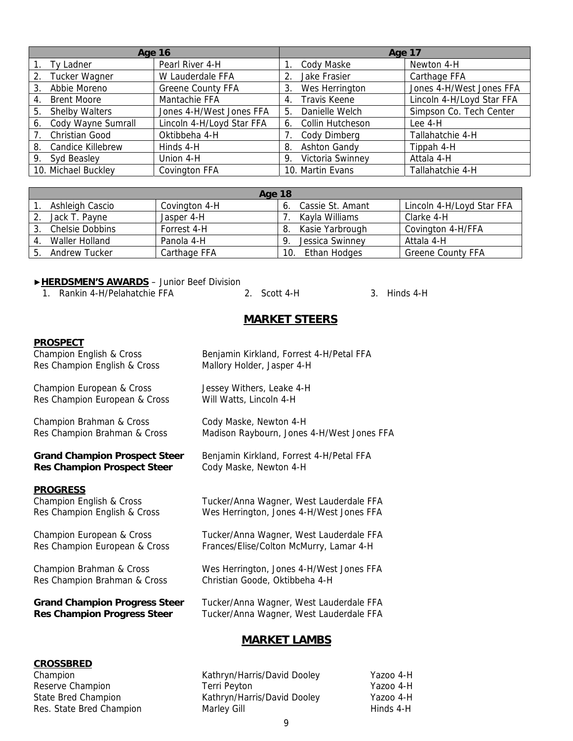|                             | <b>Age 16</b>             | Age 17                    |                           |  |
|-----------------------------|---------------------------|---------------------------|---------------------------|--|
| Ty Ladner                   | Pearl River 4-H           | Cody Maske                | Newton 4-H                |  |
| <b>Tucker Wagner</b><br>2.  | W Lauderdale FFA          | Jake Frasier<br>2.        | Carthage FFA              |  |
| Abbie Moreno<br>3.          | <b>Greene County FFA</b>  | Wes Herrington<br>3.      | Jones 4-H/West Jones FFA  |  |
| <b>Brent Moore</b><br>4.    | Mantachie FFA             | <b>Travis Keene</b><br>4. | Lincoln 4-H/Loyd Star FFA |  |
| <b>Shelby Walters</b><br>5. | Jones 4-H/West Jones FFA  | Danielle Welch<br>5       | Simpson Co. Tech Center   |  |
| Cody Wayne Sumrall<br>6.    | Lincoln 4-H/Loyd Star FFA | Collin Hutcheson<br>6.    | Lee 4-H                   |  |
| Christian Good              | Oktibbeha 4-H             | Cody Dimberg              | Tallahatchie 4-H          |  |
| Candice Killebrew<br>8.     | Hinds 4-H                 | <b>Ashton Gandy</b><br>8. | Tippah 4-H                |  |
| Syd Beasley<br>9.           | Union 4-H                 | Victoria Swinney<br>9.    | Attala 4-H                |  |
| 10. Michael Buckley         | <b>Covington FFA</b>      | 10. Martin Evans          | Tallahatchie 4-H          |  |

|   | Age 18                 |               |     |                  |                           |
|---|------------------------|---------------|-----|------------------|---------------------------|
|   | Ashleigh Cascio        | Covington 4-H | 6.  | Cassie St. Amant | Lincoln 4-H/Loyd Star FFA |
|   | Jack T. Pavne          | Jasper 4-H    |     | Kayla Williams   | Clarke 4-H                |
|   | <b>Chelsie Dobbins</b> | Forrest 4-H   |     | Kasie Yarbrough  | Covington 4-H/FFA         |
|   | Waller Holland         | Panola 4-H    |     | Jessica Swinney  | Attala 4-H                |
| b | Andrew Tucker          | Carthage FFA  | 10. | Ethan Hodges     | <b>Greene County FFA</b>  |

#### ▶**HERDSMEN'S AWARDS** – Junior Beef Division

1. Rankin 4-H/Pelahatchie FFA 2. Scott 4-H 3. Hinds 4-H

# **MARKET STEERS**

#### **PROSPECT**

Res Champion English & Cross Mallory Holder, Jasper 4-H

Champion European & Cross Jessey Withers, Leake 4-H Res Champion European & Cross Will Watts, Lincoln 4-H

Champion Brahman & Cross Cody Maske, Newton 4-H

# **Res Champion Prospect Steer** Cody Maske, Newton 4-H

#### **PROGRESS**

Champion English & Cross **Benjamin Kirkland, Forrest 4-H/Petal FFA** 

Res Champion Brahman & Cross Madison Raybourn, Jones 4-H/West Jones FFA

Grand Champion Prospect Steer Benjamin Kirkland, Forrest 4-H/Petal FFA

Champion English & Cross Tucker/Anna Wagner, West Lauderdale FFA Res Champion English & Cross Wes Herrington, Jones 4-H/West Jones FFA

Champion European & Cross Tucker/Anna Wagner, West Lauderdale FFA Res Champion European & Cross Frances/Elise/Colton McMurry, Lamar 4-H

Champion Brahman & Cross Wes Herrington, Jones 4-H/West Jones FFA Res Champion Brahman & Cross Christian Goode, Oktibbeha 4-H

**Grand Champion Progress Steer** Tucker/Anna Wagner, West Lauderdale FFA **Res Champion Progress Steer** Tucker/Anna Wagner, West Lauderdale FFA

# **MARKET LAMBS**

#### **CROSSBRED**

Champion Kathryn/Harris/David Dooley Yazoo 4-H Reserve Champion Terri Peyton Terri Peyton Nazoo 4-H State Bred Champion Kathryn/Harris/David Dooley Yazoo 4-H Res. State Bred Champion **Marley Gill Hinds 4-H** Hinds 4-H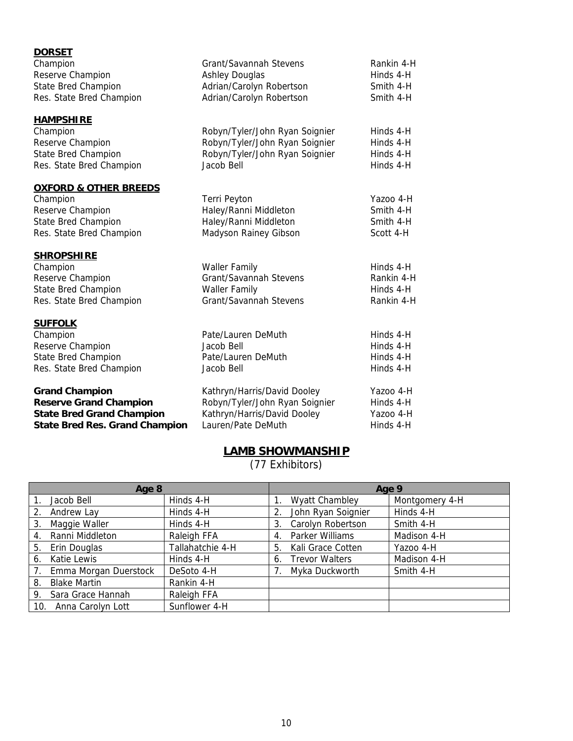| <b>DORSET</b>                           |                                                   |                        |
|-----------------------------------------|---------------------------------------------------|------------------------|
| Champion                                | Grant/Savannah Stevens                            | Rankin 4-H             |
| Reserve Champion<br>State Bred Champion | <b>Ashley Douglas</b><br>Adrian/Carolyn Robertson | Hinds 4-H<br>Smith 4-H |
| Res. State Bred Champion                | Adrian/Carolyn Robertson                          | Smith 4-H              |
|                                         |                                                   |                        |
| <b>HAMPSHIRE</b>                        |                                                   |                        |
| Champion                                | Robyn/Tyler/John Ryan Soignier                    | Hinds 4-H              |
| Reserve Champion                        | Robyn/Tyler/John Ryan Soignier                    | Hinds 4-H              |
| <b>State Bred Champion</b>              | Robyn/Tyler/John Ryan Soignier                    | Hinds 4-H              |
| Res. State Bred Champion                | Jacob Bell                                        | Hinds 4-H              |
| <b>OXFORD &amp; OTHER BREEDS</b>        |                                                   |                        |
| Champion                                | Terri Peyton                                      | Yazoo 4-H              |
| Reserve Champion                        | Haley/Ranni Middleton                             | Smith 4-H              |
| <b>State Bred Champion</b>              | Haley/Ranni Middleton                             | Smith 4-H              |
| Res. State Bred Champion                | Madyson Rainey Gibson                             | Scott 4-H              |
| <b>SHROPSHIRE</b>                       |                                                   |                        |
| Champion                                | <b>Waller Family</b>                              | Hinds 4-H              |
| Reserve Champion                        | Grant/Savannah Stevens                            | Rankin 4-H             |
| <b>State Bred Champion</b>              | <b>Waller Family</b>                              | Hinds 4-H              |
| Res. State Bred Champion                | Grant/Savannah Stevens                            | Rankin 4-H             |
| <b>SUFFOLK</b>                          |                                                   |                        |
| Champion                                | Pate/Lauren DeMuth                                | Hinds 4-H              |
| Reserve Champion                        | Jacob Bell                                        | Hinds 4-H              |
| <b>State Bred Champion</b>              | Pate/Lauren DeMuth                                | Hinds 4-H              |
| Res. State Bred Champion                | Jacob Bell                                        | Hinds 4-H              |
| <b>Grand Champion</b>                   | Kathryn/Harris/David Dooley                       | Yazoo 4-H              |
| <b>Reserve Grand Champion</b>           | Robyn/Tyler/John Ryan Soignier                    | Hinds 4-H              |
| <b>State Bred Grand Champion</b>        | Kathryn/Harris/David Dooley                       | Yazoo 4-H              |
| <b>State Bred Res. Grand Champion</b>   | Lauren/Pate DeMuth                                | Hinds 4-H              |

# **LAMB SHOWMANSHIP**

(77 Exhibitors)

| Age 8 |                       |                  | Age 9 |                       |                |
|-------|-----------------------|------------------|-------|-----------------------|----------------|
|       | Jacob Bell            | Hinds 4-H        |       | <b>Wyatt Chambley</b> | Montgomery 4-H |
| 2.    | Andrew Lay            | Hinds 4-H        |       | John Ryan Soignier    | Hinds 4-H      |
| 3.    | Maggie Waller         | Hinds 4-H        | 3.    | Carolyn Robertson     | Smith 4-H      |
| 4.    | Ranni Middleton       | Raleigh FFA      | 4.    | Parker Williams       | Madison 4-H    |
| 5.    | Erin Douglas          | Tallahatchie 4-H | 5.    | Kali Grace Cotten     | Yazoo 4-H      |
| 6.    | Katie Lewis           | Hinds 4-H        | 6.    | <b>Trevor Walters</b> | Madison 4-H    |
|       | Emma Morgan Duerstock | DeSoto 4-H       |       | Myka Duckworth        | Smith 4-H      |
| 8.    | <b>Blake Martin</b>   | Rankin 4-H       |       |                       |                |
| 9.    | Sara Grace Hannah     | Raleigh FFA      |       |                       |                |
| 10.   | Anna Carolyn Lott     | Sunflower 4-H    |       |                       |                |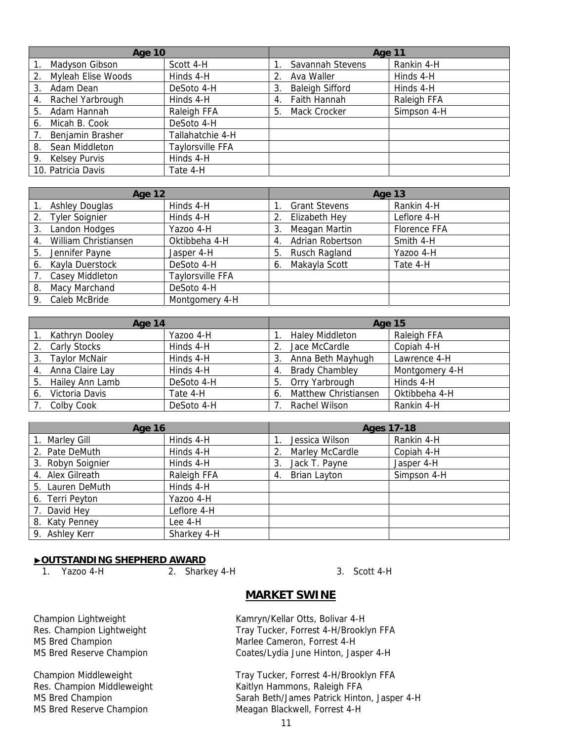| <b>Age 10</b>              |                  | Age 11                       |             |
|----------------------------|------------------|------------------------------|-------------|
| Madyson Gibson             | Scott 4-H        | Savannah Stevens             | Rankin 4-H  |
| Myleah Elise Woods<br>2.   | Hinds 4-H        | Ava Waller<br>2.             | Hinds 4-H   |
| Adam Dean<br>3.            | DeSoto 4-H       | <b>Baleigh Sifford</b><br>3. | Hinds 4-H   |
| Rachel Yarbrough<br>4.     | Hinds 4-H        | Faith Hannah<br>4.           | Raleigh FFA |
| Adam Hannah<br>5.          | Raleigh FFA      | Mack Crocker<br>5.           | Simpson 4-H |
| Micah B. Cook<br>6.        | DeSoto 4-H       |                              |             |
| Benjamin Brasher           | Tallahatchie 4-H |                              |             |
| Sean Middleton<br>8.       | Taylorsville FFA |                              |             |
| <b>Kelsey Purvis</b><br>9. | Hinds 4-H        |                              |             |
| 10. Patricia Davis         | Tate 4-H         |                              |             |

|                  | <b>Age 12</b>         |                         |    | Age 13               |              |
|------------------|-----------------------|-------------------------|----|----------------------|--------------|
|                  | <b>Ashley Douglas</b> | Hinds 4-H               |    | <b>Grant Stevens</b> | Rankin 4-H   |
| 2.               | <b>Tyler Soignier</b> | Hinds 4-H               | 2. | Elizabeth Hey        | Leflore 4-H  |
| 3.               | Landon Hodges         | Yazoo 4-H               | 3. | Meagan Martin        | Florence FFA |
| $\overline{4}$ . | William Christiansen  | Oktibbeha 4-H           | 4. | Adrian Robertson     | Smith 4-H    |
| 5.               | Jennifer Payne        | Jasper 4-H              | 5. | Rusch Ragland        | Yazoo 4-H    |
|                  | 6. Kayla Duerstock    | DeSoto 4-H              | 6. | Makayla Scott        | Tate 4-H     |
|                  | Casey Middleton       | <b>Taylorsville FFA</b> |    |                      |              |
| 8.               | Macy Marchand         | DeSoto 4-H              |    |                      |              |
| 9.               | Caleb McBride         | Montgomery 4-H          |    |                      |              |

| Age 14 |                      | <b>Age 15</b> |    |                        |                |
|--------|----------------------|---------------|----|------------------------|----------------|
|        | Kathryn Dooley       | Yazoo 4-H     |    | <b>Haley Middleton</b> | Raleigh FFA    |
|        | 2. Carly Stocks      | Hinds 4-H     |    | Jace McCardle          | Copiah 4-H     |
| 3.     | <b>Taylor McNair</b> | Hinds 4-H     |    | Anna Beth Mayhugh      | Lawrence 4-H   |
| 4.     | Anna Claire Lay      | Hinds 4-H     | 4. | <b>Brady Chambley</b>  | Montgomery 4-H |
| 5.     | Hailey Ann Lamb      | DeSoto 4-H    | 5. | Orry Yarbrough         | Hinds 4-H      |
| 6.     | Victoria Davis       | Tate 4-H      | 6. | Matthew Christiansen   | Oktibbeha 4-H  |
|        | Colby Cook           | DeSoto 4-H    |    | Rachel Wilson          | Rankin 4-H     |

| <b>Age 16</b>       |             | <b>Ages 17-18</b>     |             |  |
|---------------------|-------------|-----------------------|-------------|--|
| 1. Marley Gill      | Hinds 4-H   | Jessica Wilson        | Rankin 4-H  |  |
| 2. Pate DeMuth      | Hinds 4-H   | Marley McCardle<br>2. | Copiah 4-H  |  |
| 3. Robyn Soignier   | Hinds 4-H   | Jack T. Payne<br>3.   | Jasper 4-H  |  |
| 4. Alex Gilreath    | Raleigh FFA | Brian Layton<br>4.    | Simpson 4-H |  |
| Lauren DeMuth<br>5. | Hinds 4-H   |                       |             |  |
| 6. Terri Peyton     | Yazoo 4-H   |                       |             |  |
| David Hey<br>7.     | Leflore 4-H |                       |             |  |
| 8. Katy Penney      | Lee 4-H     |                       |             |  |
| 9. Ashley Kerr      | Sharkey 4-H |                       |             |  |

# **DUTSTANDING SHEPHERD AWARD**<br>1. Yazoo 4-H 2. Sharkey 4-H

1. Yazoo 4-H 2. Sharkey 4-H 3. Scott 4-H

# **MARKET SWINE**

Champion Lightweight Kamryn/Kellar Otts, Bolivar 4-H Res. Champion Lightweight Tray Tucker, Forrest 4-H/Brooklyn FFA MS Bred Champion Marlee Cameron, Forrest 4-H MS Bred Reserve Champion Coates/Lydia June Hinton, Jasper 4-H

Champion Middleweight Tray Tucker, Forrest 4-H/Brooklyn FFA<br>
Res. Champion Middleweight Kaitlyn Hammons, Raleigh FFA Kaitlyn Hammons, Raleigh FFA MS Bred Champion Sarah Beth/James Patrick Hinton, Jasper 4-H MS Bred Reserve Champion Meagan Blackwell, Forrest 4-H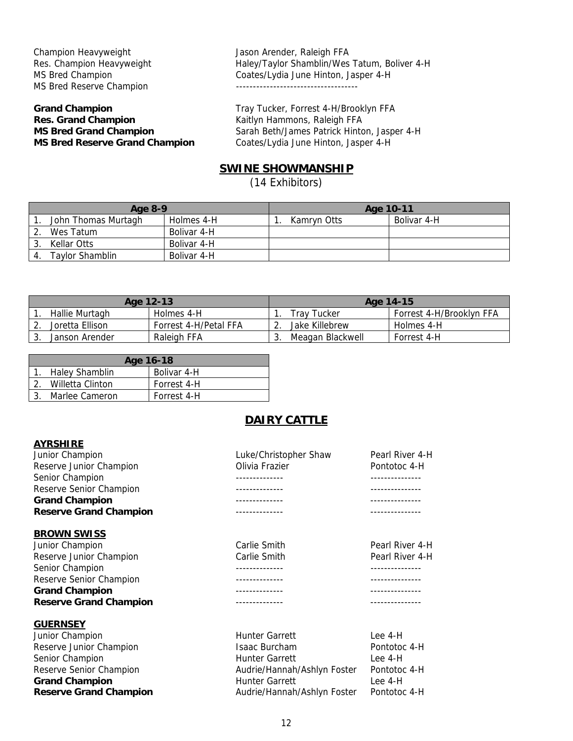Champion Heavyweight **Jason Arender, Raleigh FFA** MS Bred Reserve Champion **And American** Superior and Champion

# **Res. Grand Champion Res. Grand Champion Kaitlyn Hammons, Raleigh FFA MS Bred Reserve Grand Champion** Coates/Lydia June Hinton, Jasper 4-H

Res. Champion Heavyweight Haley/Taylor Shamblin/Wes Tatum, Boliver 4-H MS Bred Champion Coates/Lydia June Hinton, Jasper 4-H

**Grand Champion** Tray Tucker, Forrest 4-H/Brooklyn FFA **MS Bred Grand Champion Sarah Beth/James Patrick Hinton, Jasper 4-H** 

# **SWINE SHOWMANSHIP**

(14 Exhibitors)

| Age 8-9 |                     | Age 10-11   |             |             |
|---------|---------------------|-------------|-------------|-------------|
|         | John Thomas Murtagh | Holmes 4-H  | Kamryn Otts | Bolivar 4-H |
|         | Wes Tatum           | Bolivar 4-H |             |             |
|         | Kellar Otts         | Bolivar 4-H |             |             |
|         | Taylor Shamblin     | Bolivar 4-H |             |             |

| Age 12-13 |                  | Age 14-15             |                  |                          |
|-----------|------------------|-----------------------|------------------|--------------------------|
|           | Hallie Murtagh   | Holmes 4-H            | Trav Tucker      | Forrest 4-H/Brooklyn FFA |
|           | Joretta Ellison. | Forrest 4-H/Petal FFA | Jake Killebrew   | Holmes 4-H               |
|           | Janson Arender   | Raleigh FFA           | Meagan Blackwell | Forrest 4-H              |

| Age 16-18           |             |  |  |  |  |
|---------------------|-------------|--|--|--|--|
| 1. Haley Shamblin   | Bolivar 4-H |  |  |  |  |
| 2. Willetta Clinton | Forrest 4-H |  |  |  |  |
| Marlee Cameron      | Forrest 4-H |  |  |  |  |

# **DAIRY CATTLE**

#### **AYRSHIRE**

| Junior Champion               | Luke/Christopher Shaw | Pearl River 4-H |
|-------------------------------|-----------------------|-----------------|
| Reserve Junior Champion       | Olivia Frazier        | Pontotoc 4-H    |
| Senior Champion               |                       |                 |
| Reserve Senior Champion       |                       |                 |
| <b>Grand Champion</b>         |                       |                 |
| <b>Reserve Grand Champion</b> | --------------        | --------------  |
| <b>BROWN SWISS</b>            |                       |                 |
| Junior Champion               | Carlie Smith          | Pearl River 4-H |
| Reserve Junior Champion       | Carlie Smith          | Pearl River 4-H |
| Senior Champion               |                       | --------------  |
| Reserve Senior Champion       |                       |                 |
| <b>Grand Champion</b>         |                       |                 |
| <b>Reserve Grand Champion</b> | ------------          |                 |
| <b>GUERNSEY</b>               |                       |                 |
| Junior Champion               | <b>Hunter Garrett</b> | Lee 4-H         |

Reserve Junior Champion **Isaac Burcham Pontotoc 4-H** Isaac Burcham Pontotoc 4-H Senior Champion **Example 2** Hunter Garrett **Lee 4-H** Reserve Senior Champion **Audrie/Hannah/Ashlyn Foster** Pontotoc 4-H **Grand Champion Hunter Garrett** Lee 4-H **Reserve Grand Champion Audrie/Hannah/Ashlyn Foster** Pontotoc 4-H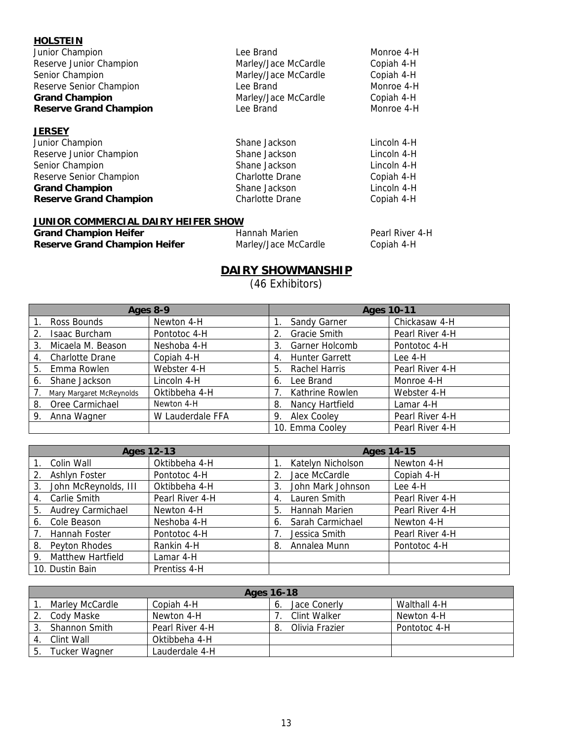| <b>HOLSTEIN</b><br>Junior Champion | Lee Brand            | Monroe 4-H |
|------------------------------------|----------------------|------------|
| Reserve Junior Champion            | Marley/Jace McCardle | Copiah 4-H |
| Senior Champion                    | Marley/Jace McCardle | Copiah 4-H |
| Reserve Senior Champion            | Lee Brand            | Monroe 4-H |
| <b>Grand Champion</b>              | Marley/Jace McCardle | Copiah 4-H |
| <b>Reserve Grand Champion</b>      | Lee Brand            | Monroe 4-H |
| <b>JERSEY</b>                      |                      |            |

| ノレハンレー                        |                        |             |
|-------------------------------|------------------------|-------------|
| Junior Champion               | Shane Jackson          | Lincoln 4-H |
| Reserve Junior Champion       | Shane Jackson          | Lincoln 4-H |
| Senior Champion               | Shane Jackson          | Lincoln 4-H |
| Reserve Senior Champion       | <b>Charlotte Drane</b> | Copiah 4-H  |
| <b>Grand Champion</b>         | Shane Jackson          | Lincoln 4-H |
| <b>Reserve Grand Champion</b> | <b>Charlotte Drane</b> | Copiah 4-H  |
|                               |                        |             |

# **JUNIOR COMMERCIAL DAIRY HEIFER SHOW**

| <b>Grand Champion Heifer</b>         | Hannah Marien        | Pearl River 4-H |
|--------------------------------------|----------------------|-----------------|
| <b>Reserve Grand Champion Heifer</b> | Marley/Jace McCardle | Copiah 4-H      |

# **DAIRY SHOWMANSHIP**

(46 Exhibitors)

| Ages 8-9 |                          |                  | <b>Ages 10-11</b>                           |  |  |
|----------|--------------------------|------------------|---------------------------------------------|--|--|
|          | Ross Bounds              | Newton 4-H       | Chickasaw 4-H<br>Sandy Garner               |  |  |
| 2.       | Isaac Burcham            | Pontotoc 4-H     | <b>Gracie Smith</b><br>Pearl River 4-H      |  |  |
| 3.       | Micaela M. Beason        | Neshoba 4-H      | Garner Holcomb<br>Pontotoc 4-H<br>3.        |  |  |
| 4.       | <b>Charlotte Drane</b>   | Copiah 4-H       | <b>Hunter Garrett</b><br>Lee 4-H<br>4.      |  |  |
| 5.       | Emma Rowlen              | Webster 4-H      | Rachel Harris<br>Pearl River 4-H<br>5.      |  |  |
| 6.       | Shane Jackson            | Lincoln 4-H      | Monroe 4-H<br>Lee Brand<br>6.               |  |  |
|          | Mary Margaret McReynolds | Oktibbeha 4-H    | Webster 4-H<br>Kathrine Rowlen              |  |  |
| 8.       | Oree Carmichael          | Newton 4-H       | Nancy Hartfield<br>Lamar 4-H<br>8.          |  |  |
| 9.       | Anna Wagner              | W Lauderdale FFA | <b>Alex Cooley</b><br>Pearl River 4-H<br>9. |  |  |
|          |                          |                  | 10. Emma Cooley<br>Pearl River 4-H          |  |  |

| <b>Ages 12-13</b>              |                 | <b>Ages 14-15</b>      |                 |  |
|--------------------------------|-----------------|------------------------|-----------------|--|
| Colin Wall                     | Oktibbeha 4-H   | Katelyn Nicholson      | Newton 4-H      |  |
| Ashlyn Foster<br>2.            | Pontotoc 4-H    | Jace McCardle          | Copiah 4-H      |  |
| John McReynolds, III<br>3.     | Oktibbeha 4-H   | John Mark Johnson      | Lee 4-H         |  |
| Carlie Smith<br>4.             | Pearl River 4-H | Lauren Smith<br>4.     | Pearl River 4-H |  |
| <b>Audrey Carmichael</b><br>5. | Newton 4-H      | Hannah Marien<br>5.    | Pearl River 4-H |  |
| Cole Beason<br>6.              | Neshoba 4-H     | Sarah Carmichael<br>6. | Newton 4-H      |  |
| <b>Hannah Foster</b><br>7.     | Pontotoc 4-H    | Jessica Smith          | Pearl River 4-H |  |
| Peyton Rhodes<br>8.            | Rankin 4-H      | Annalea Munn<br>8.     | Pontotoc 4-H    |  |
| Matthew Hartfield<br>9.        | Lamar 4-H       |                        |                 |  |
| 10. Dustin Bain                | Prentiss 4-H    |                        |                 |  |

| Ages 16-18 |                 |                 |   |                |              |
|------------|-----------------|-----------------|---|----------------|--------------|
|            | Marley McCardle | Copiah 4-H      | O | Jace Conerly   | Walthall 4-H |
|            | Cody Maske      | Newton 4-H      |   | Clint Walker   | Newton 4-H   |
|            | Shannon Smith   | Pearl River 4-H | 8 | Olivia Frazier | Pontotoc 4-H |
|            | Clint Wall      | Oktibbeha 4-H   |   |                |              |
| 5.         | Tucker Wagner   | Lauderdale 4-H  |   |                |              |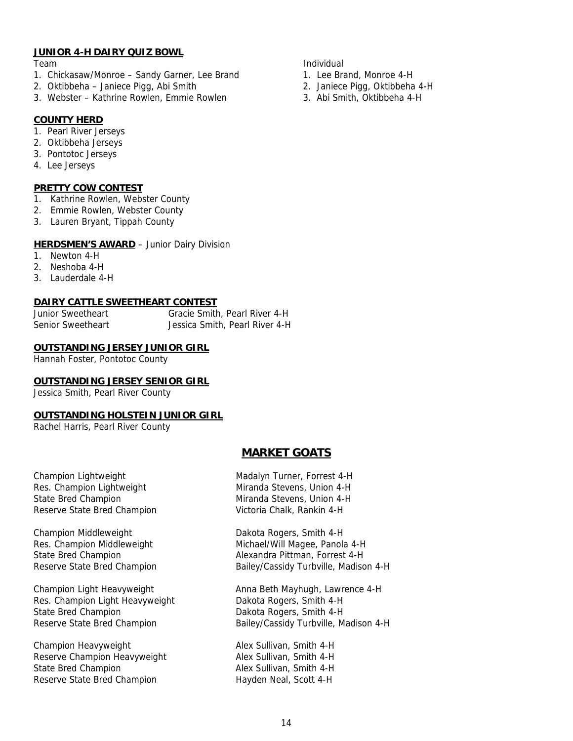#### **JUNIOR 4-H DAIRY QUIZ BOWL**

- 1. Chickasaw/Monroe Sandy Garner, Lee Brand 1. Lee Brand, Monroe 4-H
- 2. Oktibbeha Janiece Pigg, Abi Smith 2. Janiece Pigg, Oktibbeha 4-H
- 3. Webster Kathrine Rowlen, Emmie Rowlen 3. Abi Smith, Oktibbeha 4-H

# **COUNTY HERD**

- 1. Pearl River Jerseys
- 2. Oktibbeha Jerseys
- 3. Pontotoc Jerseys
- 4. Lee Jerseys

# **PRETTY COW CONTEST**

- 1. Kathrine Rowlen, Webster County
- 2. Emmie Rowlen, Webster County
- 3. Lauren Bryant, Tippah County

# **HERDSMEN'S AWARD** - Junior Dairy Division

- 1. Newton 4-H
- 2. Neshoba 4-H
- 3. Lauderdale 4-H

# **DAIRY CATTLE SWEETHEART CONTEST**

| <b>Junior Sweetheart</b> | Gracie Smith, Pearl River 4-H  |
|--------------------------|--------------------------------|
| Senior Sweetheart        | Jessica Smith, Pearl River 4-H |

# **OUTSTANDING JERSEY JUNIOR GIRL**

Hannah Foster, Pontotoc County

# **OUTSTANDING JERSEY SENIOR GIRL**

Jessica Smith, Pearl River County

#### **OUTSTANDING HOLSTEIN JUNIOR GIRL**

Rachel Harris, Pearl River County

# **MARKET GOATS**

Champion Lightweight Res. Champion Lightweight State Bred Champion Reserve State Bred Champion

Champion Middleweight Dakota Rogers, Smith 4-H

Res. Champion Light Heavyweight Dakota Rogers, Smith 4-H State Bred Champion **Dakota Rogers, Smith 4-H** 

Champion Heavyweight **Alex Sullivan, Smith 4-H** Reserve Champion Heavyweight **Alex Sullivan, Smith 4-H** State Bred Champion Alex Sullivan, Smith 4-H Reserve State Bred Champion Hayden Neal, Scott 4-H

| Madalyn Turner, Forrest 4-H |
|-----------------------------|
| Miranda Stevens, Union 4-H  |
| Miranda Stevens, Union 4-H  |
| Victoria Chalk, Rankin 4-H  |

Res. Champion Middleweight Michael/Will Magee, Panola 4-H State Bred Champion **Alexandra Pittman, Forrest 4-H** Reserve State Bred Champion Bailey/Cassidy Turbville, Madison 4-H

Champion Light Heavyweight Anna Beth Mayhugh, Lawrence 4-H Reserve State Bred Champion Bailey/Cassidy Turbville, Madison 4-H

Team and the contract of the contract of the contract of the contract of the contract of the contract of the contract of the contract of the contract of the contract of the contract of the contract of the contract of the c

- 
- 
-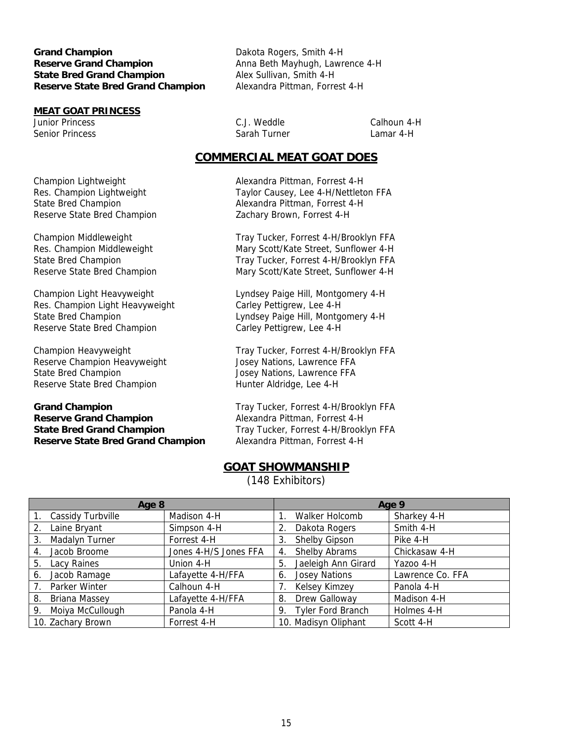**Grand Champion** Dakota Rogers, Smith 4-H **Reserve Grand Champion Anna Beth Mayhugh, Lawrence 4-H State Bred Grand Champion** Alex Sullivan, Smith 4-H **Reserve State Bred Grand Champion** Alexandra Pittman, Forrest 4-H

# **MEAT GOAT PRINCESS**

Junior Princess C.J. Weddle Calhoun 4-H Senior Princess Sarah Turner New Sarah Turner Camar 4-H

# **COMMERCIAL MEAT GOAT DOES**

Champion Lightweight Alexandra Pittman, Forrest 4-H Res. Champion Lightweight Taylor Causey, Lee 4-H/Nettleton FFA State Bred Champion **Alexandra Pittman, Forrest 4-H** Reserve State Bred Champion Zachary Brown, Forrest 4-H

Champion Middleweight Tray Tucker, Forrest 4-H/Brooklyn FFA Res. Champion Middleweight Mary Scott/Kate Street, Sunflower 4-H State Bred Champion Tray Tucker, Forrest 4-H/Brooklyn FFA Reserve State Bred Champion Mary Scott/Kate Street, Sunflower 4-H

Champion Light Heavyweight Lyndsey Paige Hill, Montgomery 4-H Res. Champion Light Heavyweight Carley Pettigrew, Lee 4-H State Bred Champion **Lyndsey Paige Hill, Montgomery 4-H** Reserve State Bred Champion Carley Pettigrew, Lee 4-H

Champion Heavyweight Tray Tucker, Forrest 4-H/Brooklyn FFA Reserve Champion Heavyweight Josey Nations, Lawrence FFA State Bred Champion Josey Nations, Lawrence FFA Reserve State Bred Champion **Hunter Aldridge, Lee 4-H** 

**Grand Champion** Tray Tucker, Forrest 4-H/Brooklyn FFA **Reserve Grand Champion** Alexandra Pittman, Forrest 4-H **State Bred Grand Champion** Tray Tucker, Forrest 4-H/Brooklyn FFA **Reserve State Bred Grand Champion** Alexandra Pittman, Forrest 4-H

# **GOAT SHOWMANSHIP**

(148 Exhibitors)

| Age 8       |                     | Age 9                 |    |                      |                  |
|-------------|---------------------|-----------------------|----|----------------------|------------------|
|             | Cassidy Turbville   | Madison 4-H           |    | Walker Holcomb       | Sharkey 4-H      |
| 2.          | Laine Bryant        | Simpson 4-H           | 2. | Dakota Rogers        | Smith 4-H        |
| 3.          | Madalyn Turner      | Forrest 4-H           | 3. | Shelby Gipson        | Pike 4-H         |
| 4.          | Jacob Broome        | Jones 4-H/S Jones FFA | 4. | Shelby Abrams        | Chickasaw 4-H    |
| 5.          | Lacy Raines         | Union 4-H             | 5. | Jaeleigh Ann Girard  | Yazoo 4-H        |
| 6.          | Jacob Ramage        | Lafayette 4-H/FFA     | 6. | <b>Josey Nations</b> | Lawrence Co. FFA |
| $7_{\cdot}$ | Parker Winter       | Calhoun 4-H           |    | Kelsey Kimzey        | Panola 4-H       |
| 8.          | Briana Massey       | Lafayette 4-H/FFA     | 8. | Drew Galloway        | Madison 4-H      |
|             | 9. Moiya McCullough | Panola 4-H            |    | 9. Tyler Ford Branch | Holmes 4-H       |
|             | 10. Zachary Brown   | Forrest 4-H           |    | 10. Madisyn Oliphant | Scott 4-H        |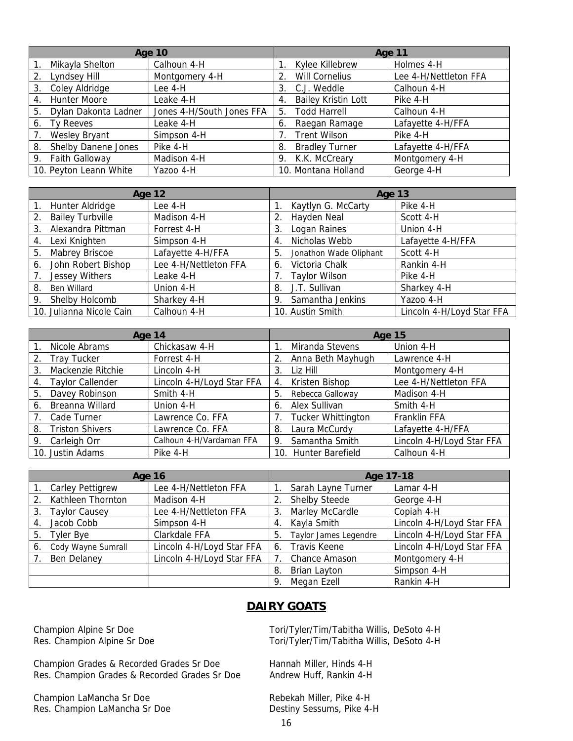| <b>Age 10</b> |                            |                           | Age 11 |                            |                       |
|---------------|----------------------------|---------------------------|--------|----------------------------|-----------------------|
|               | Mikayla Shelton            | Calhoun 4-H               |        | Kylee Killebrew            | Holmes 4-H            |
| 2.            | Lyndsey Hill               | Montgomery 4-H            |        | <b>Will Cornelius</b>      | Lee 4-H/Nettleton FFA |
| 3.            | Coley Aldridge             | Lee 4-H                   | 3.     | C.J. Weddle                | Calhoun 4-H           |
| 4.            | <b>Hunter Moore</b>        | Leake 4-H                 | 4.     | <b>Bailey Kristin Lott</b> | Pike 4-H              |
| 5.            | Dylan Dakonta Ladner       | Jones 4-H/South Jones FFA | 5.     | <b>Todd Harrell</b>        | Calhoun 4-H           |
| 6.            | Ty Reeves                  | Leake 4-H                 | 6.     | Raegan Ramage              | Lafayette 4-H/FFA     |
|               | Wesley Bryant              | Simpson 4-H               |        | <b>Trent Wilson</b>        | Pike 4-H              |
| 8.            | <b>Shelby Danene Jones</b> | Pike 4-H                  | 8.     | <b>Bradley Turner</b>      | Lafayette 4-H/FFA     |
| 9.            | Faith Galloway             | Madison 4-H               |        | 9. K.K. McCreary           | Montgomery 4-H        |
|               | 10. Peyton Leann White     | Yazoo 4-H                 |        | 10. Montana Holland        | George 4-H            |

| <b>Age 12</b>                  |                       | Age 13                       |                           |  |
|--------------------------------|-----------------------|------------------------------|---------------------------|--|
| Hunter Aldridge<br>$1_{\cdot}$ | Lee 4-H               | Kaytlyn G. McCarty           | Pike 4-H                  |  |
| <b>Bailey Turbville</b><br>2.  | Madison 4-H           | Hayden Neal<br>2.            | Scott 4-H                 |  |
| Alexandra Pittman<br>3.        | Forrest 4-H           | Logan Raines<br>3.           | Union 4-H                 |  |
| Lexi Knighten<br>4.            | Simpson 4-H           | Nicholas Webb<br>4.          | Lafayette 4-H/FFA         |  |
| Mabrey Briscoe<br>5.           | Lafayette 4-H/FFA     | 5.<br>Jonathon Wade Oliphant | Scott 4-H                 |  |
| John Robert Bishop<br>6.       | Lee 4-H/Nettleton FFA | Victoria Chalk<br>6.         | Rankin 4-H                |  |
| <b>Jessey Withers</b>          | Leake 4-H             | <b>Taylor Wilson</b><br>7.   | Pike 4-H                  |  |
| 8.<br><b>Ben Willard</b>       | Union 4-H             | J.T. Sullivan<br>8.          | Sharkey 4-H               |  |
| Shelby Holcomb<br>9.           | Sharkey 4-H           | Samantha Jenkins<br>9.       | Yazoo 4-H                 |  |
| 10. Julianna Nicole Cain       | Calhoun 4-H           | 10. Austin Smith             | Lincoln 4-H/Loyd Star FFA |  |

| Age 14                        |                           | <b>Age 15</b>             |                           |  |
|-------------------------------|---------------------------|---------------------------|---------------------------|--|
| Nicole Abrams                 | Chickasaw 4-H             | Miranda Stevens           | Union 4-H                 |  |
| 2. Tray Tucker                | Forrest 4-H               | Anna Beth Mayhugh<br>2.   | Lawrence 4-H              |  |
| Mackenzie Ritchie<br>3.       | Lincoln 4-H               | Liz Hill<br>3.            | Montgomery 4-H            |  |
| <b>Taylor Callender</b><br>4. | Lincoln 4-H/Loyd Star FFA | Kristen Bishop<br>4.      | Lee 4-H/Nettleton FFA     |  |
| Davey Robinson<br>5.          | Smith 4-H                 | Rebecca Galloway<br>5.    | Madison 4-H               |  |
| Breanna Willard<br>6.         | Union 4-H                 | Alex Sullivan<br>6.       | Smith 4-H                 |  |
| Cade Turner<br>7.             | Lawrence Co. FFA          | <b>Tucker Whittington</b> | Franklin FFA              |  |
| 8. Triston Shivers            | Lawrence Co. FFA          | Laura McCurdy<br>8.       | Lafayette 4-H/FFA         |  |
| 9. Carleigh Orr               | Calhoun 4-H/Vardaman FFA  | Samantha Smith<br>9.      | Lincoln 4-H/Loyd Star FFA |  |
| 10. Justin Adams              | Pike 4-H                  | 10. Hunter Barefield      | Calhoun 4-H               |  |

| <b>Age 16</b> |                         |                           | Age 17-18 |                       |                           |
|---------------|-------------------------|---------------------------|-----------|-----------------------|---------------------------|
|               | <b>Carley Pettigrew</b> | Lee 4-H/Nettleton FFA     |           | Sarah Layne Turner    | Lamar 4-H                 |
| 2.            | Kathleen Thornton       | Madison 4-H               | 2.        | <b>Shelby Steede</b>  | George 4-H                |
| 3.            | <b>Taylor Causey</b>    | Lee 4-H/Nettleton FFA     | 3.        | Marley McCardle       | Copiah 4-H                |
|               | Jacob Cobb              | Simpson 4-H               | 4.        | Kayla Smith           | Lincoln 4-H/Loyd Star FFA |
| 5.            | <b>Tyler Bye</b>        | Clarkdale FFA             | 5.        | Taylor James Legendre | Lincoln 4-H/Loyd Star FFA |
| 6.            | Cody Wayne Sumrall      | Lincoln 4-H/Loyd Star FFA | 6.        | <b>Travis Keene</b>   | Lincoln 4-H/Loyd Star FFA |
|               | <b>Ben Delaney</b>      | Lincoln 4-H/Loyd Star FFA |           | Chance Amason         | Montgomery 4-H            |
|               |                         |                           | 8.        | Brian Layton          | Simpson 4-H               |
|               |                         |                           | 9.        | Megan Ezell           | Rankin 4-H                |

# **DAIRY GOATS**

Champion Grades & Recorded Grades Sr Doe Hannah Miller, Hinds 4-H Res. Champion Grades & Recorded Grades Sr Doe Andrew Huff, Rankin 4-H

Champion LaMancha Sr Doe Rebekah Miller, Pike 4-H Res. Champion LaMancha Sr Doe Destiny Sessums, Pike 4-H

Champion Alpine Sr Doe Tori/Tyler/Tim/Tabitha Willis, DeSoto 4-H<br>Res. Champion Alpine Sr Doe Tori/Tyler/Tim/Tabitha Willis, DeSoto 4-H Tori/Tyler/Tim/Tabitha Willis, DeSoto 4-H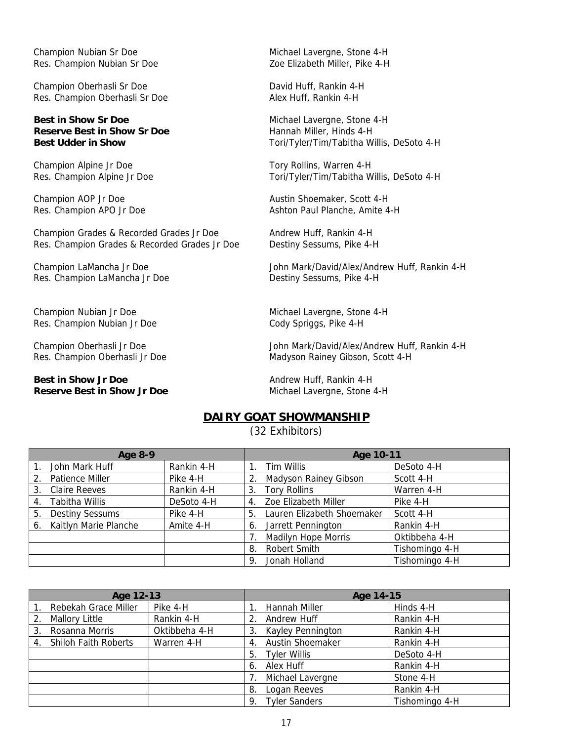Champion Nubian Sr Doe **Michael Lavergne, Stone 4-H** Res. Champion Nubian Sr Doe **Zoe Elizabeth Miller, Pike 4-H** 

Champion Oberhasli Sr Doe David Huff, Rankin 4-H Res. Champion Oberhasli Sr Doe Alex Huff, Rankin 4-H

# **Best in Show Sr Doe** Michael Lavergne, Stone 4-H **Reserve Best in Show Sr Doe** Hannah Miller, Hinds 4-H

Champion Alpine Jr Doe Tory Rollins, Warren 4-H

Champion Grades & Recorded Grades Jr Doe Andrew Huff, Rankin 4-H Res. Champion Grades & Recorded Grades Jr Doe Destiny Sessums, Pike 4-H

Res. Champion LaMancha Jr Doe Destiny Sessums, Pike 4-H

Champion Nubian Jr Doe **Michael Lavergne, Stone 4-H** Res. Champion Nubian Jr Doe Cody Spriggs, Pike 4-H

**Best in Show Jr Doe** Andrew Huff, Rankin 4-H **Reserve Best in Show Jr Doe** Michael Lavergne, Stone 4-H

**Best Udder in Show** Tori/Tyler/Tim/Tabitha Willis, DeSoto 4-H

Res. Champion Alpine Jr Doe Tori/Tyler/Tim/Tabitha Willis, DeSoto 4-H

Champion AOP Jr Doe **Austin Shoemaker, Scott 4-H** Res. Champion APO Jr Doe Ashton Paul Planche, Amite 4-H

Champion LaMancha Jr Doe John Mark/David/Alex/Andrew Huff, Rankin 4-H

Champion Oberhasli Jr Doe John Mark/David/Alex/Andrew Huff, Rankin 4-H Res. Champion Oberhasli Jr Doe Madyson Rainey Gibson, Scott 4-H

# **DAIRY GOAT SHOWMANSHIP**

(32 Exhibitors)

| <b>Age 8-9</b> |                        |            | Age 10-11 |                              |                |
|----------------|------------------------|------------|-----------|------------------------------|----------------|
|                | John Mark Huff         | Rankin 4-H |           | Tim Willis                   | DeSoto 4-H     |
| 2.             | <b>Patience Miller</b> | Pike 4-H   | 2.        | <b>Madyson Rainey Gibson</b> | Scott 4-H      |
| 3.             | <b>Claire Reeves</b>   | Rankin 4-H | 3.        | <b>Tory Rollins</b>          | Warren 4-H     |
| 4.             | <b>Tabitha Willis</b>  | DeSoto 4-H | 4.        | Zoe Elizabeth Miller         | Pike 4-H       |
| 5.             | <b>Destiny Sessums</b> | Pike 4-H   | 5.        | Lauren Elizabeth Shoemaker   | Scott 4-H      |
| 6.             | Kaitlyn Marie Planche  | Amite 4-H  | 6.        | Jarrett Pennington           | Rankin 4-H     |
|                |                        |            |           | <b>Madilyn Hope Morris</b>   | Oktibbeha 4-H  |
|                |                        |            | 8.        | Robert Smith                 | Tishomingo 4-H |
|                |                        |            | 9.        | Jonah Holland                | Tishomingo 4-H |

| Age 12-13 |                             |               | Age 14-15 |                         |                |
|-----------|-----------------------------|---------------|-----------|-------------------------|----------------|
|           | Rebekah Grace Miller        | Pike 4-H      |           | Hannah Miller           | Hinds 4-H      |
|           | <b>Mallory Little</b>       | Rankin 4-H    | 2.        | Andrew Huff             | Rankin 4-H     |
| 3.        | Rosanna Morris              | Oktibbeha 4-H | 3.        | Kayley Pennington       | Rankin 4-H     |
| 4.        | <b>Shiloh Faith Roberts</b> | Warren 4-H    | 4.        | <b>Austin Shoemaker</b> | Rankin 4-H     |
|           |                             |               | 5.        | <b>Tyler Willis</b>     | DeSoto 4-H     |
|           |                             |               | 6.        | Alex Huff               | Rankin 4-H     |
|           |                             |               |           | Michael Lavergne        | Stone 4-H      |
|           |                             |               | 8.        | Logan Reeves            | Rankin 4-H     |
|           |                             |               | 9.        | <b>Tyler Sanders</b>    | Tishomingo 4-H |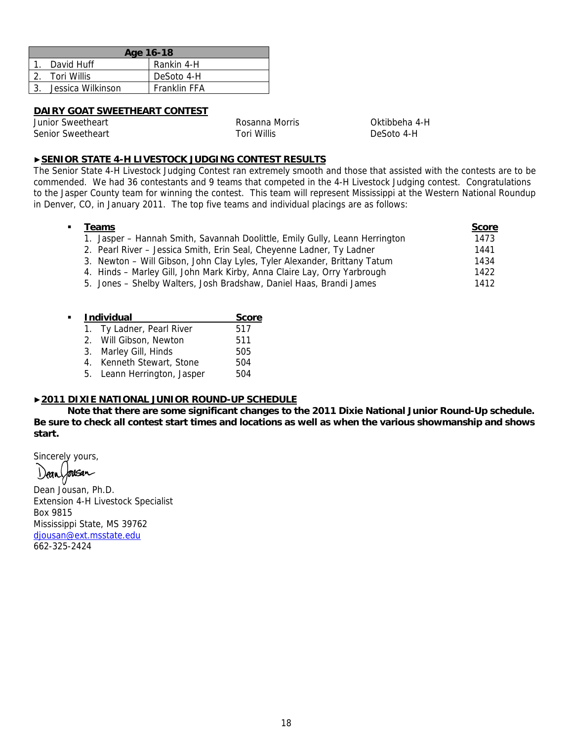| Age 16-18 |                   |                     |  |  |
|-----------|-------------------|---------------------|--|--|
|           | David Huff        | Rankin 4-H          |  |  |
|           | Tori Willis       | DeSoto 4-H          |  |  |
|           | Jessica Wilkinson | <b>Franklin FFA</b> |  |  |

# **DAIRY GOAT SWEETHEART CONTEST**

Junior Sweetheart Rosanna Morris Oktibbeha 4-H Senior Sweetheart Tori Willis Tori Willis News DeSoto 4-H

# ▶**SENIOR STATE 4-H LIVESTOCK JUDGING CONTEST RESULTS**

The Senior State 4-H Livestock Judging Contest ran extremely smooth and those that assisted with the contests are to be commended. We had 36 contestants and 9 teams that competed in the 4-H Livestock Judging contest. Congratulations to the Jasper County team for winning the contest. This team will represent Mississippi at the Western National Roundup in Denver, CO, in January 2011. The top five teams and individual placings are as follows:

| Teams                                                                       | <b>Score</b> |
|-----------------------------------------------------------------------------|--------------|
| 1. Jasper - Hannah Smith, Savannah Doolittle, Emily Gully, Leann Herrington | 1473         |
| 2. Pearl River - Jessica Smith, Erin Seal, Cheyenne Ladner, Ty Ladner       | 1441         |
| 3. Newton - Will Gibson, John Clay Lyles, Tyler Alexander, Brittany Tatum   | 1434         |
| 4. Hinds - Marley Gill, John Mark Kirby, Anna Claire Lay, Orry Yarbrough    | 1422         |
| 5. Jones – Shelby Walters, Josh Bradshaw, Daniel Haas, Brandi James         | 1412         |
|                                                                             |              |

| <b>Individual</b> | <b>Score</b>                |     |
|-------------------|-----------------------------|-----|
|                   | 1. Ty Ladner, Pearl River   | 517 |
|                   | 2. Will Gibson, Newton      | 511 |
|                   | 3. Marley Gill, Hinds       | 505 |
|                   | 4. Kenneth Stewart, Stone   | 504 |
|                   | 5. Leann Herrington, Jasper | 504 |

# ▶**2011 DIXIE NATIONAL JUNIOR ROUND-UP SCHEDULE**

 **Note that there are some significant changes to the 2011 Dixie National Junior Round-Up schedule. Be sure to check all contest start times and locations as well as when the various showmanship and shows start.** 

Sincerely yours,

Dean forsan

Dean Jousan, Ph.D. Extension 4-H Livestock Specialist Box 9815 Mississippi State, MS 39762 djousan@ext.msstate.edu 662-325-2424